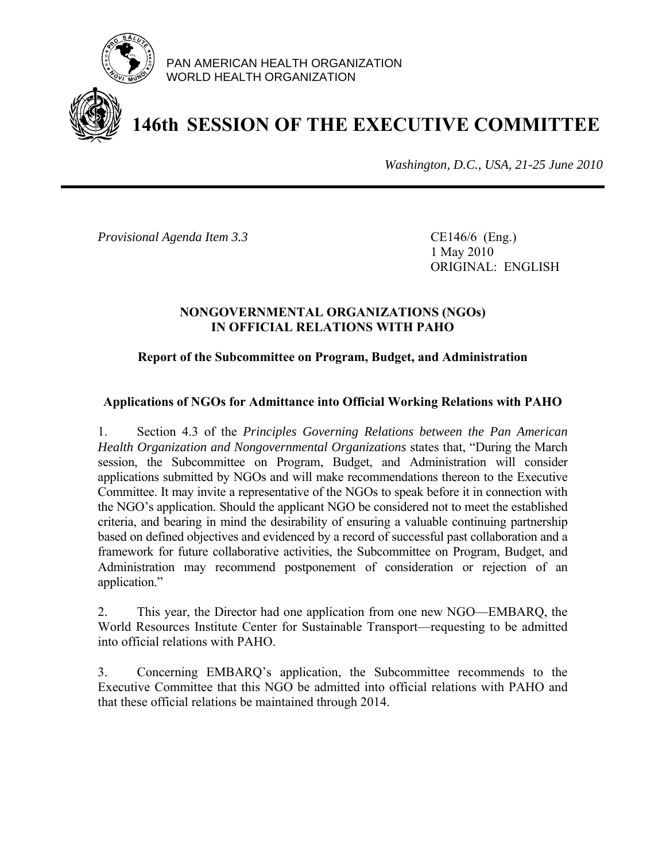

PAN AMERICAN HEALTH ORGANIZATION WORLD HEALTH ORGANIZATION

# **146th SESSION OF THE EXECUTIVE COMMITTEE**

*Washington, D.C., USA, 21-25 June 2010*

*Provisional Agenda Item 3.3* CE146/6 (Eng.)

 1 May 2010 ORIGINAL: ENGLISH

# **NONGOVERNMENTAL ORGANIZATIONS (NGOs) IN OFFICIAL RELATIONS WITH PAHO**

# **Report of the Subcommittee on Program, Budget, and Administration**

# **Applications of NGOs for Admittance into Official Working Relations with PAHO**

1. Section 4.3 of the *Principles Governing Relations between the Pan American Health Organization and Nongovernmental Organizations* states that, "During the March session, the Subcommittee on Program, Budget, and Administration will consider applications submitted by NGOs and will make recommendations thereon to the Executive Committee. It may invite a representative of the NGOs to speak before it in connection with the NGO's application. Should the applicant NGO be considered not to meet the established criteria, and bearing in mind the desirability of ensuring a valuable continuing partnership based on defined objectives and evidenced by a record of successful past collaboration and a framework for future collaborative activities, the Subcommittee on Program, Budget, and Administration may recommend postponement of consideration or rejection of an application."

2. This year, the Director had one application from one new NGO—EMBARQ, the World Resources Institute Center for Sustainable Transport—requesting to be admitted into official relations with PAHO.

3. Concerning EMBARQ's application, the Subcommittee recommends to the Executive Committee that this NGO be admitted into official relations with PAHO and that these official relations be maintained through 2014.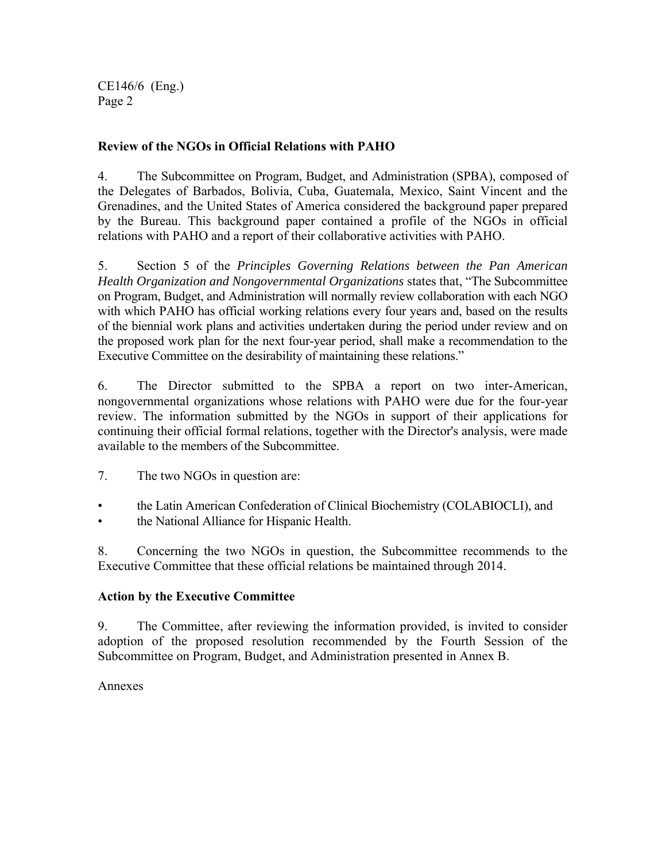CE146/6 (Eng.) Page 2

# **Review of the NGOs in Official Relations with PAHO**

4. The Subcommittee on Program, Budget, and Administration (SPBA), composed of the Delegates of Barbados, Bolivia, Cuba, Guatemala, Mexico, Saint Vincent and the Grenadines, and the United States of America considered the background paper prepared by the Bureau. This background paper contained a profile of the NGOs in official relations with PAHO and a report of their collaborative activities with PAHO.

5. Section 5 of the *Principles Governing Relations between the Pan American Health Organization and Nongovernmental Organizations* states that, "The Subcommittee on Program, Budget, and Administration will normally review collaboration with each NGO with which PAHO has official working relations every four years and, based on the results of the biennial work plans and activities undertaken during the period under review and on the proposed work plan for the next four-year period, shall make a recommendation to the Executive Committee on the desirability of maintaining these relations."

6. The Director submitted to the SPBA a report on two inter-American, nongovernmental organizations whose relations with PAHO were due for the four-year review. The information submitted by the NGOs in support of their applications for continuing their official formal relations, together with the Director's analysis, were made available to the members of the Subcommittee.

7. The two NGOs in question are:

- the Latin American Confederation of Clinical Biochemistry (COLABIOCLI), and
- the National Alliance for Hispanic Health.

8. Concerning the two NGOs in question, the Subcommittee recommends to the Executive Committee that these official relations be maintained through 2014.

# **Action by the Executive Committee**

9. The Committee, after reviewing the information provided, is invited to consider adoption of the proposed resolution recommended by the Fourth Session of the Subcommittee on Program, Budget, and Administration presented in Annex B.

# Annexes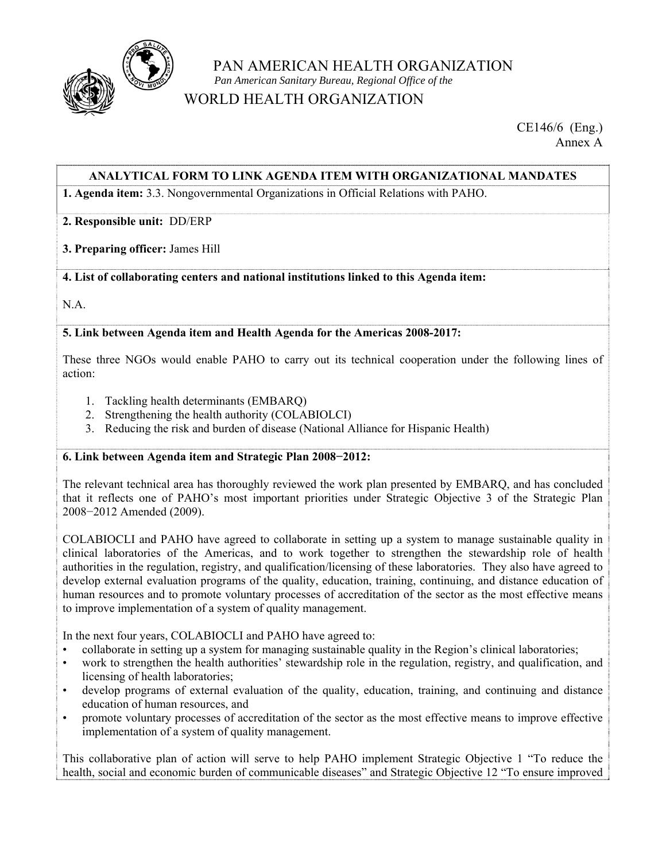

# PAN AMERICAN HEALTH ORGANIZATION  *Pan American Sanitary Bureau, Regional Office of the* WORLD HEALTH ORGANIZATION

CE146/6 (Eng.) Annex A

### **ANALYTICAL FORM TO LINK AGENDA ITEM WITH ORGANIZATIONAL MANDATES**

**1. Agenda item:** 3.3. Nongovernmental Organizations in Official Relations with PAHO.

#### **2. Responsible unit:** DD/ERP

#### **3. Preparing officer:** James Hill

#### **4. List of collaborating centers and national institutions linked to this Agenda item:**

N.A.

#### **5. Link between Agenda item and Health Agenda for the Americas 2008-2017:**

These three NGOs would enable PAHO to carry out its technical cooperation under the following lines of action:

- 1. Tackling health determinants (EMBARQ)
- 2. Strengthening the health authority (COLABIOLCI)
- 3. Reducing the risk and burden of disease (National Alliance for Hispanic Health)

#### **6. Link between Agenda item and Strategic Plan 2008−2012:**

The relevant technical area has thoroughly reviewed the work plan presented by EMBARQ, and has concluded that it reflects one of PAHO's most important priorities under Strategic Objective 3 of the Strategic Plan 2008−2012 Amended (2009).

COLABIOCLI and PAHO have agreed to collaborate in setting up a system to manage sustainable quality in clinical laboratories of the Americas, and to work together to strengthen the stewardship role of health authorities in the regulation, registry, and qualification/licensing of these laboratories. They also have agreed to develop external evaluation programs of the quality, education, training, continuing, and distance education of human resources and to promote voluntary processes of accreditation of the sector as the most effective means to improve implementation of a system of quality management.

In the next four years, COLABIOCLI and PAHO have agreed to:

- collaborate in setting up a system for managing sustainable quality in the Region's clinical laboratories;
- work to strengthen the health authorities' stewardship role in the regulation, registry, and qualification, and licensing of health laboratories;
- develop programs of external evaluation of the quality, education, training, and continuing and distance education of human resources, and
- promote voluntary processes of accreditation of the sector as the most effective means to improve effective implementation of a system of quality management.

This collaborative plan of action will serve to help PAHO implement Strategic Objective 1 "To reduce the health, social and economic burden of communicable diseases" and Strategic Objective 12 "To ensure improved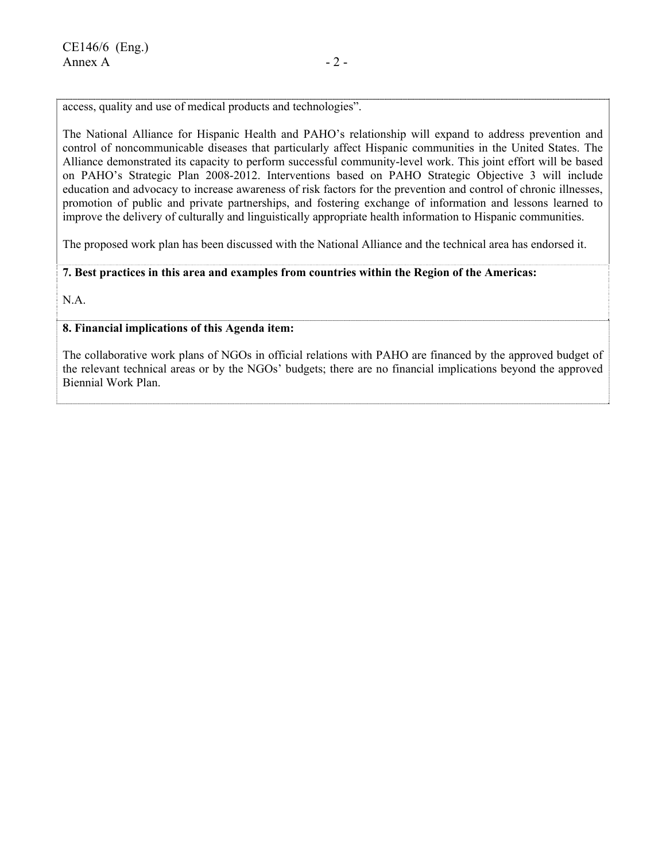access, quality and use of medical products and technologies".

The National Alliance for Hispanic Health and PAHO's relationship will expand to address prevention and control of noncommunicable diseases that particularly affect Hispanic communities in the United States. The Alliance demonstrated its capacity to perform successful community-level work. This joint effort will be based on PAHO's Strategic Plan 2008-2012. Interventions based on PAHO Strategic Objective 3 will include education and advocacy to increase awareness of risk factors for the prevention and control of chronic illnesses, promotion of public and private partnerships, and fostering exchange of information and lessons learned to improve the delivery of culturally and linguistically appropriate health information to Hispanic communities.

The proposed work plan has been discussed with the National Alliance and the technical area has endorsed it.

#### **7. Best practices in this area and examples from countries within the Region of the Americas:**

N.A.

#### **8. Financial implications of this Agenda item:**

The collaborative work plans of NGOs in official relations with PAHO are financed by the approved budget of the relevant technical areas or by the NGOs' budgets; there are no financial implications beyond the approved Biennial Work Plan.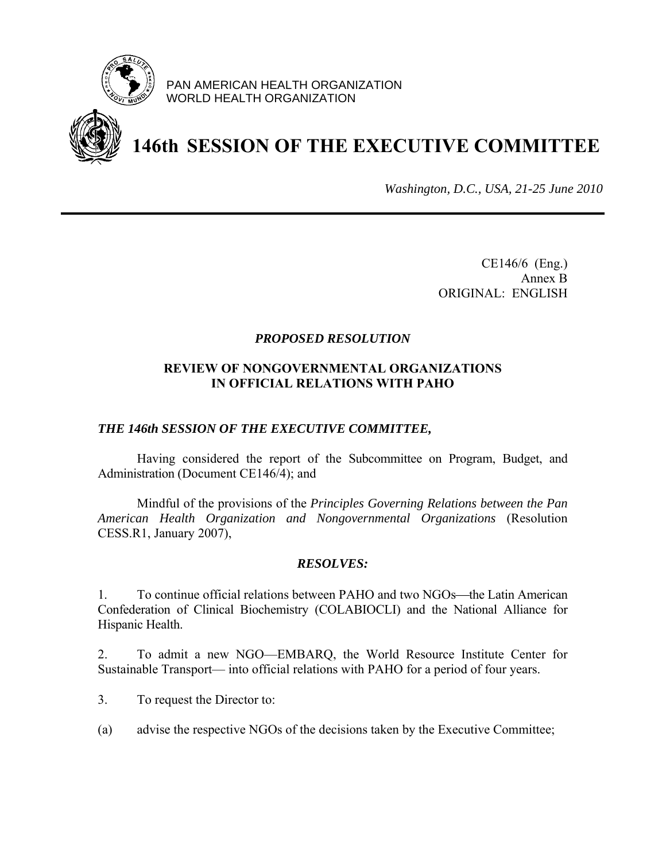

PAN AMERICAN HEALTH ORGANIZATION WORLD HEALTH ORGANIZATION



# **146th SESSION OF THE EXECUTIVE COMMITTEE**

*Washington, D.C., USA, 21-25 June 2010*

CE146/6 (Eng.) Annex B ORIGINAL: ENGLISH

### *PROPOSED RESOLUTION*

### **REVIEW OF NONGOVERNMENTAL ORGANIZATIONS IN OFFICIAL RELATIONS WITH PAHO**

#### *THE 146th SESSION OF THE EXECUTIVE COMMITTEE,*

 Having considered the report of the Subcommittee on Program, Budget, and Administration (Document CE146/4); and

 Mindful of the provisions of the *Principles Governing Relations between the Pan American Health Organization and Nongovernmental Organizations* (Resolution CESS.R1, January 2007),

#### *RESOLVES:*

1. To continue official relations between PAHO and two NGOs—the Latin American Confederation of Clinical Biochemistry (COLABIOCLI) and the National Alliance for Hispanic Health.

2. To admit a new NGO—EMBARQ, the World Resource Institute Center for Sustainable Transport— into official relations with PAHO for a period of four years.

3. To request the Director to:

(a) advise the respective NGOs of the decisions taken by the Executive Committee;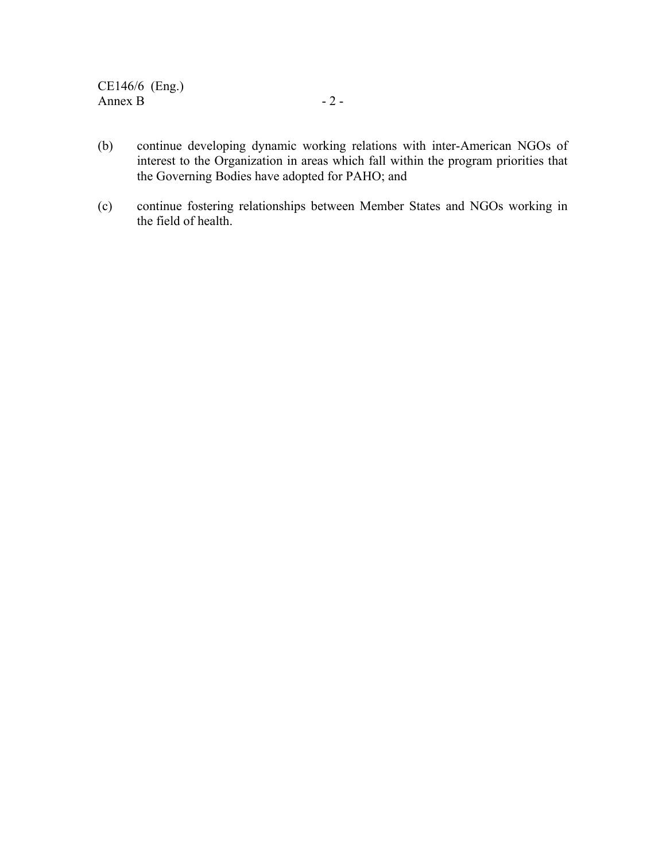- (b) continue developing dynamic working relations with inter-American NGOs of interest to the Organization in areas which fall within the program priorities that the Governing Bodies have adopted for PAHO; and
- (c) continue fostering relationships between Member States and NGOs working in the field of health.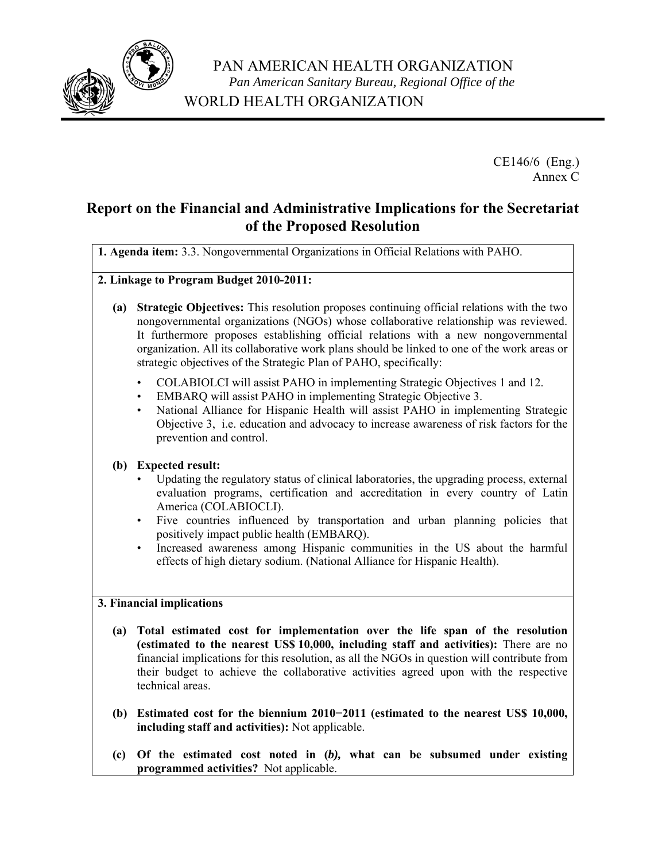

CE146/6 (Eng.) Annex C

# **Report on the Financial and Administrative Implications for the Secretariat of the Proposed Resolution**

**1. Agenda item:** 3.3. Nongovernmental Organizations in Official Relations with PAHO.

- **2. Linkage to Program Budget 2010-2011:** 
	- **(a) Strategic Objectives:** This resolution proposes continuing official relations with the two nongovernmental organizations (NGOs) whose collaborative relationship was reviewed. It furthermore proposes establishing official relations with a new nongovernmental organization. All its collaborative work plans should be linked to one of the work areas or strategic objectives of the Strategic Plan of PAHO, specifically:
		- COLABIOLCI will assist PAHO in implementing Strategic Objectives 1 and 12.<br>• EMBARO will assist PAHO in implementing Strategic Objective 3.
		- EMBARQ will assist PAHO in implementing Strategic Objective 3.
		- National Alliance for Hispanic Health will assist PAHO in implementing Strategic Objective 3, i.e. education and advocacy to increase awareness of risk factors for the prevention and control.

# **(b) Expected result:**

- Updating the regulatory status of clinical laboratories, the upgrading process, external evaluation programs, certification and accreditation in every country of Latin America (COLABIOCLI).
- Five countries influenced by transportation and urban planning policies that positively impact public health (EMBARQ).
- Increased awareness among Hispanic communities in the US about the harmful effects of high dietary sodium. (National Alliance for Hispanic Health).

#### **3. Financial implications**

- **(a) Total estimated cost for implementation over the life span of the resolution (estimated to the nearest US\$ 10,000, including staff and activities):** There are no financial implications for this resolution, as all the NGOs in question will contribute from their budget to achieve the collaborative activities agreed upon with the respective technical areas.
- **(b) Estimated cost for the biennium 2010−2011 (estimated to the nearest US\$ 10,000, including staff and activities):** Not applicable.
- **(c) Of the estimated cost noted in (***b),* **what can be subsumed under existing programmed activities?** Not applicable.